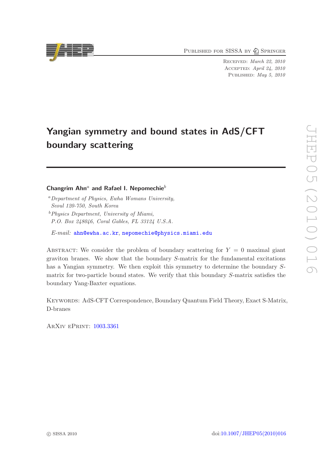PUBLISHED FOR SISSA BY 2 SPRINGER

Received: March 22, 2010 Accepted: April 24, 2010 PUBLISHED: May 5, 2010

# Yangian symmetry and bound states in AdS/CFT boundary scattering

# Changrim Ahn<sup>a</sup> and Rafael I. Nepomechie<sup>b</sup>

*E-mail:* [ahn@ewha.ac.kr](mailto:ahn@ewha.ac.kr), [nepomechie@physics.miami.edu](mailto:nepomechie@physics.miami.edu)

ABSTRACT: We consider the problem of boundary scattering for  $Y = 0$  maximal giant graviton branes. We show that the boundary S-matrix for the fundamental excitations has a Yangian symmetry. We then exploit this symmetry to determine the boundary Smatrix for two-particle bound states. We verify that this boundary S-matrix satisfies the boundary Yang-Baxter equations.

Keywords: AdS-CFT Correspondence, Boundary Quantum Field Theory, Exact S-Matrix, D-branes

ArXiv ePrint: [1003.3361](http://arxiv.org/abs/1003.3361)



<sup>a</sup>*Department of Physics, Ewha Womans University, Seoul 120-750, South Korea*

<sup>b</sup>*Physics Department, University of Miami, P.O. Box 248046, Coral Gables, FL 33124 U.S.A.*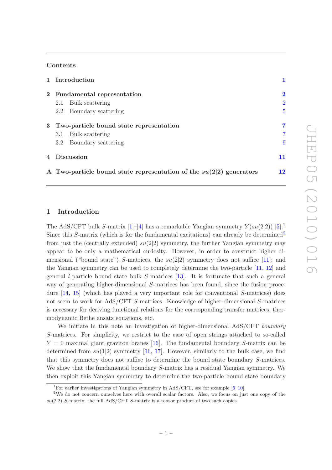#### Contents

|       | 1 Introduction                                                        |                |  |
|-------|-----------------------------------------------------------------------|----------------|--|
|       | 2 Fundamental representation                                          | $\bf{2}$       |  |
|       | Bulk scattering<br>2.1                                                | $\overline{2}$ |  |
|       | Boundary scattering<br>2.2                                            | $5^{\circ}$    |  |
| $3 -$ | Two-particle bound state representation                               |                |  |
|       | 3.1<br>Bulk scattering                                                | $\overline{7}$ |  |
|       | Boundary scattering<br>3.2                                            | 9              |  |
|       | 4 Discussion                                                          | 11             |  |
|       | A Two-particle bound state representation of the $su(2 2)$ generators | 12             |  |

## <span id="page-1-0"></span>1 Introduction

The AdS/CFT bulk S-matrix [\[1](#page-13-0)]–[\[4](#page-13-1)] has a remarkable Yangian symmetry  $Y(su(2|2))$  [\[5](#page-13-2)]. Since this  $S$ -matrix (which is for the fundamental excitations) can already be determined<sup>[2](#page-1-2)</sup> from just the (centrally extended)  $su(2|2)$  symmetry, the further Yangian symmetry may appear to be only a mathematical curiosity. However, in order to construct higher dimensional ("bound state") S-matrices, the  $su(2|2)$  symmetry does not suffice [\[11\]](#page-14-0); and the Yangian symmetry can be used to completely determine the two-particle [\[11](#page-14-0), [12](#page-14-1)] and general l-particle bound state bulk S-matrices [\[13](#page-14-2)]. It is fortunate that such a general way of generating higher-dimensional S-matrices has been found, since the fusion procedure  $[14, 15]$  $[14, 15]$  $[14, 15]$  (which has played a very important role for conventional S-matrices) does not seem to work for AdS/CFT S-matrices. Knowledge of higher-dimensional S-matrices is necessary for deriving functional relations for the corresponding transfer matrices, thermodynamic Bethe ansatz equations, etc.

We initiate in this note an investigation of higher-dimensional AdS/CFT *boundary* S-matrices. For simplicity, we restrict to the case of open strings attached to so-called  $Y = 0$  maximal giant graviton branes [\[16](#page-14-5)]. The fundamental boundary S-matrix can be determined from  $su(1|2)$  symmetry [\[16](#page-14-5), [17](#page-14-6)]. However, similarly to the bulk case, we find that this symmetry does not suffice to determine the bound state boundary S-matrices. We show that the fundamental boundary S-matrix has a residual Yangian symmetry. We then exploit this Yangian symmetry to determine the two-particle bound state boundary

<span id="page-1-1"></span><sup>&</sup>lt;sup>1</sup>For earlier investigations of Yangian symmetry in AdS/CFT, see for example  $[6-10]$ .

<span id="page-1-2"></span><sup>&</sup>lt;sup>2</sup>We do not concern ourselves here with overall scalar factors. Also, we focus on just one copy of the  $su(2|2)$  S-matrix; the full AdS/CFT S-matrix is a tensor product of two such copies.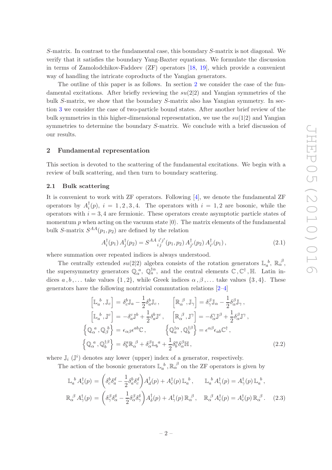S-matrix. In contrast to the fundamental case, this boundary S-matrix is not diagonal. We verify that it satisfies the boundary Yang-Baxter equations. We formulate the discussion in terms of Zamolodchikov-Faddeev (ZF) operators [\[18](#page-14-9), [19](#page-14-10)], which provide a convenient way of handling the intricate coproducts of the Yangian generators.

The outline of this paper is as follows. In section [2](#page-2-0) we consider the case of the fundamental excitations. After briefly reviewing the  $su(2|2)$  and Yangian symmetries of the bulk S-matrix, we show that the boundary S-matrix also has Yangian symmetry. In section [3](#page-7-0) we consider the case of two-particle bound states. After another brief review of the bulk symmetries in this higher-dimensional representation, we use the  $su(1|2)$  and Yangian symmetries to determine the boundary S-matrix. We conclude with a brief discussion of our results.

#### <span id="page-2-0"></span>2 Fundamental representation

This section is devoted to the scattering of the fundamental excitations. We begin with a review of bulk scattering, and then turn to boundary scattering.

#### <span id="page-2-1"></span>2.1 Bulk scattering

It is convenient to work with ZF operators. Following [\[4](#page-13-1)], we denote the fundamental ZF operators by  $A_i^{\dagger}$  $i<sub>i</sub>(p)$ ,  $i = 1, 2, 3, 4$ . The operators with  $i = 1, 2$  are bosonic, while the operators with  $i = 3, 4$  are fermionic. These operators create asymptotic particle states of momentum p when acting on the vacuum state  $|0\rangle$ . The matrix elements of the fundamental bulk S-matrix  $S^{AA}(p_1, p_2)$  are defined by the relation

<span id="page-2-2"></span>
$$
A_i^{\dagger}(p_1) A_j^{\dagger}(p_2) = S^{AA}{}_{ij}^{i'j'}(p_1, p_2) A_{j'}^{\dagger}(p_2) A_{i'}^{\dagger}(p_1), \qquad (2.1)
$$

where summation over repeated indices is always understood.

The centrally extended  $su(2|2)$  algebra consists of the rotation generators  $\mathbb{L}_a^b$ ,  $\mathbb{R}_\alpha^{\beta}$ , the supersymmetry generators  $\mathbb{Q}_{\alpha}^{\ a}$ ,  $\mathbb{Q}_{a}^{\dagger\alpha}$ , and the central elements  $\mathbb{C}$ ,  $\mathbb{C}^{\dagger}$ ,  $\mathbb{H}$ . Latin indices  $a, b, \ldots$  take values  $\{1, 2\}$ , while Greek indices  $\alpha, \beta, \ldots$  take values  $\{3, 4\}$ . These generators have the following nontrivial commutation relations [\[2](#page-13-3)[–4\]](#page-13-1)

$$
\begin{aligned}\n\left[\mathbb{L}_{a}{}^{b},\mathbb{J}_{c}\right] &= \delta_{c}^{b}\mathbb{J}_{a} - \frac{1}{2}\delta_{a}^{b}\mathbb{J}_{c}, \qquad \left[\mathbb{R}_{\alpha}{}^{\beta},\mathbb{J}_{\gamma}\right] = \delta_{\gamma}^{\beta}\mathbb{J}_{\alpha} - \frac{1}{2}\delta_{\alpha}^{\beta}\mathbb{J}_{\gamma}, \\
\left[\mathbb{L}_{a}{}^{b},\mathbb{J}^{c}\right] &= -\delta_{a}^{c}\mathbb{J}^{b} + \frac{1}{2}\delta_{a}^{b}\mathbb{J}^{c}, \qquad \left[\mathbb{R}_{\alpha}{}^{\beta},\mathbb{J}^{\gamma}\right] = -\delta_{\alpha}^{\gamma}\mathbb{J}^{\beta} + \frac{1}{2}\delta_{\alpha}^{\beta}\mathbb{J}^{\gamma}, \\
\left\{\mathbb{Q}_{\alpha}{}^{a},\mathbb{Q}_{\beta}{}^{b}\right\} &= \epsilon_{\alpha\beta}\epsilon^{ab}\mathbb{C}, \qquad \left\{\mathbb{Q}_{a}^{\dagger\alpha},\mathbb{Q}_{b}^{\dagger\beta}\right\} = \epsilon^{\alpha\beta}\epsilon_{ab}\mathbb{C}^{\dagger}, \\
\left\{\mathbb{Q}_{\alpha}{}^{a},\mathbb{Q}_{b}^{\dagger\beta}\right\} &= \delta_{b}^{a}\mathbb{R}_{\alpha}{}^{\beta} + \delta_{\alpha}^{\beta}\mathbb{L}_{b}{}^{a} + \frac{1}{2}\delta_{b}^{a}\delta_{\alpha}^{\beta}\mathbb{H}\,,\n\end{aligned} \tag{2.2}
$$

where  $\mathbb{J}_i$  ( $\mathbb{J}^i$ ) denotes any lower (upper) index of a generator, respectively.

The action of the bosonic generators  $\mathbb{L}_a^b$ ,  $\mathbb{R}_\alpha^{\beta}$  on the ZF operators is given by

<span id="page-2-3"></span>
$$
\mathbb{L}_{a}^{b} A_{c}^{\dagger}(p) = \left( \delta_{c}^{b} \delta_{a}^{d} - \frac{1}{2} \delta_{a}^{b} \delta_{c}^{d} \right) A_{d}^{\dagger}(p) + A_{c}^{\dagger}(p) \mathbb{L}_{a}^{b}, \qquad \mathbb{L}_{a}^{b} A_{\gamma}^{\dagger}(p) = A_{\gamma}^{\dagger}(p) \mathbb{L}_{a}^{b},
$$
\n
$$
\mathbb{R}_{\alpha}^{\beta} A_{\gamma}^{\dagger}(p) = \left( \delta_{\gamma}^{\beta} \delta_{\alpha}^{\delta} - \frac{1}{2} \delta_{\alpha}^{\beta} \delta_{\gamma}^{\delta} \right) A_{\delta}^{\dagger}(p) + A_{\gamma}^{\dagger}(p) \mathbb{R}_{\alpha}^{\beta}, \qquad \mathbb{R}_{\alpha}^{\beta} A_{c}^{\dagger}(p) = A_{c}^{\dagger}(p) \mathbb{R}_{\alpha}^{\beta}.
$$
\n(2.3)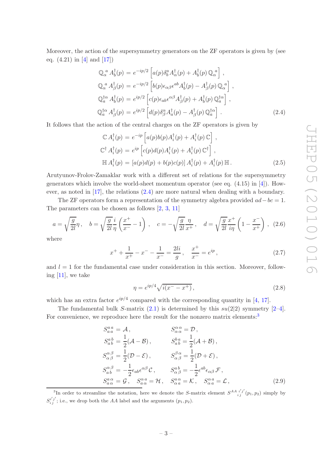Moreover, the action of the supersymmetry generators on the ZF operators is given by (see eq.  $(4.21)$  in [\[4](#page-13-1)] and [\[17](#page-14-6)])

<span id="page-3-0"></span>
$$
\mathbb{Q}_{\alpha}^{a} A_{b}^{\dagger}(p) = e^{-ip/2} \left[ a(p) \delta_{b}^{a} A_{\alpha}^{\dagger}(p) + A_{b}^{\dagger}(p) \mathbb{Q}_{\alpha}^{a} \right],
$$
  
\n
$$
\mathbb{Q}_{\alpha}^{a} A_{\beta}^{\dagger}(p) = e^{-ip/2} \left[ b(p) \epsilon_{\alpha\beta} \epsilon^{ab} A_{b}^{\dagger}(p) - A_{\beta}^{\dagger}(p) \mathbb{Q}_{\alpha}^{a} \right],
$$
  
\n
$$
\mathbb{Q}_{a}^{\dagger\alpha} A_{b}^{\dagger}(p) = e^{ip/2} \left[ c(p) \epsilon_{ab} \epsilon^{\alpha\beta} A_{\beta}^{\dagger}(p) + A_{b}^{\dagger}(p) \mathbb{Q}_{a}^{\dagger\alpha} \right],
$$
  
\n
$$
\mathbb{Q}_{a}^{\dagger\alpha} A_{\beta}^{\dagger}(p) = e^{ip/2} \left[ d(p) \delta_{\beta}^{\alpha} A_{a}^{\dagger}(p) - A_{\beta}^{\dagger}(p) \mathbb{Q}_{a}^{\dagger\alpha} \right].
$$
\n(2.4)

It follows that the action of the central charges on the ZF operators is given by

<span id="page-3-3"></span>
$$
\mathbb{C} A_i^{\dagger}(p) = e^{-ip} \left[ a(p)b(p) A_i^{\dagger}(p) + A_i^{\dagger}(p) \mathbb{C} \right],
$$
  
\n
$$
\mathbb{C}^{\dagger} A_i^{\dagger}(p) = e^{ip} \left[ c(p)d(p) A_i^{\dagger}(p) + A_i^{\dagger}(p) \mathbb{C}^{\dagger} \right],
$$
  
\n
$$
\mathbb{H} A_i^{\dagger}(p) = \left[ a(p)d(p) + b(p)c(p) \right] A_i^{\dagger}(p) + A_i^{\dagger}(p) \mathbb{H}.
$$
\n(2.5)

Arutyunov-Frolov-Zamaklar work with a different set of relations for the supersymmetry generators which involve the world-sheet momentum operator (see eq.  $(4.15)$  in [\[4](#page-13-1)]). However, as noted in [\[17\]](#page-14-6), the relations [\(2.4\)](#page-3-0) are more natural when dealing with a boundary.

The ZF operators form a representation of the symmetry algebra provided  $ad-bc=1$ . The parameters can be chosen as follows [\[2,](#page-13-3) [3,](#page-13-4) [11](#page-14-0)]

<span id="page-3-5"></span>
$$
a = \sqrt{\frac{g}{2l}}\eta \,, \quad b = \sqrt{\frac{g}{2l}}\frac{i}{\eta} \left(\frac{x^+}{x^-} - 1\right) \,, \quad c = -\sqrt{\frac{g}{2l}}\frac{\eta}{x^+} \,, \quad d = \sqrt{\frac{g}{2l}}\frac{x^+}{i\eta} \left(1 - \frac{x^-}{x^+}\right) \,, \tag{2.6}
$$

where

<span id="page-3-6"></span>
$$
x^{+} + \frac{1}{x^{+}} - x^{-} - \frac{1}{x^{-}} = \frac{2li}{g}, \quad \frac{x^{+}}{x^{-}} = e^{ip}, \tag{2.7}
$$

and  $l = 1$  for the fundamental case under consideration in this section. Moreover, following [\[11](#page-14-0)], we take

<span id="page-3-2"></span>
$$
\eta = e^{ip/4} \sqrt{i(x^- - x^+)}\,,\tag{2.8}
$$

which has an extra factor  $e^{ip/4}$  compared with the corresponding quantity in [\[4,](#page-13-1) [17](#page-14-6)].

The fundamental bulk S-matrix  $(2.1)$  is determined by this  $su(2|2)$  symmetry  $[2-4]$ . For convenience, we reproduce here the result for the nonzero matrix elements:<sup>[3](#page-3-1)</sup>

<span id="page-3-4"></span>
$$
S_{a a}^{a a} = A, \t S_{\alpha \alpha}^{\alpha \alpha} = D,
$$
  
\n
$$
S_{a b}^{a b} = \frac{1}{2}(A - B), \t S_{a b}^{b a} = \frac{1}{2}(A + B),
$$
  
\n
$$
S_{\alpha \beta}^{\alpha \beta} = \frac{1}{2}(D - \mathcal{E}), \t S_{\alpha \beta}^{\beta \alpha} = \frac{1}{2}(D + \mathcal{E}),
$$
  
\n
$$
S_{a b}^{\alpha \beta} = -\frac{1}{2} \epsilon_{a b} \epsilon^{\alpha \beta} \mathcal{C}, \t S_{\alpha \beta}^{a b} = -\frac{1}{2} \epsilon^{a b} \epsilon_{\alpha \beta} \mathcal{F},
$$
  
\n
$$
S_{a \alpha}^{a \alpha} = \mathcal{G}, \t S_{a \alpha}^{\alpha a} = \mathcal{H}, \t S_{\alpha a}^{\alpha \alpha} = \mathcal{K}, \t S_{\alpha a}^{\alpha a} = \mathcal{L},
$$
\n(2.9)

<span id="page-3-1"></span><sup>&</sup>lt;sup>3</sup>In order to streamline the notation, here we denote the S-matrix element  $S^{AA}{}_{i j}^{i' j'}(p_1, p_2)$  simply by  $S_i^{i'j'}$ ; i.e., we drop both the AA label and the arguments  $(p_1, p_2)$ .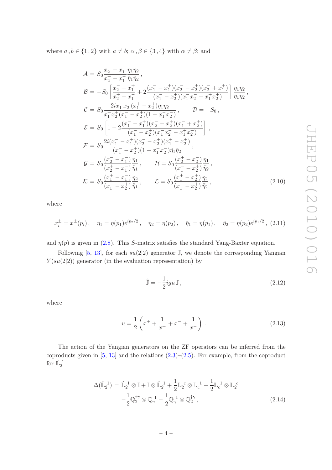where  $a, b \in \{1, 2\}$  with  $a \neq b$ ;  $\alpha, \beta \in \{3, 4\}$  with  $\alpha \neq \beta$ ; and

<span id="page-4-0"></span>
$$
\mathcal{A} = S_0 \frac{x_2^- - x_1^+}{x_2^+ - x_1^-} \frac{\eta_1 \eta_2}{\eta_1 \eta_2},
$$
\n
$$
\mathcal{B} = -S_0 \left[ \frac{x_2^- - x_1^+}{x_2^+ - x_1^-} + 2 \frac{(x_1^- - x_1^+)(x_2^- - x_2^+)(x_2^- + x_1^+)}{(x_1^- - x_2^+)(x_1^- x_2^- - x_1^+ x_2^+)} \right] \frac{\eta_1 \eta_2}{\tilde{\eta}_1 \tilde{\eta}_2},
$$
\n
$$
\mathcal{C} = S_0 \frac{2ix_1^- x_2^- (x_1^+ - x_2^+)\eta_1 \eta_2}{x_1^+ x_2^+ (x_1^- - x_2^+)(1 - x_1^- x_2^-)}, \qquad \mathcal{D} = -S_0,
$$
\n
$$
\mathcal{E} = S_0 \left[ 1 - 2 \frac{(x_1^- - x_1^+)(x_2^- - x_2^+)(x_1^- + x_2^+)}{(x_1^- - x_2^+)(x_1^- x_2^- - x_1^+ x_2^+)} \right],
$$
\n
$$
\mathcal{F} = S_0 \frac{2i(x_1^- - x_1^+)(x_2^- - x_2^+)(x_1^+ - x_2^+)}{(x_1^- - x_2^+)(1 - x_1^- x_2^-)\tilde{\eta}_1 \tilde{\eta}_2},
$$
\n
$$
\mathcal{G} = S_0 \frac{(x_2^- - x_1^-)}{(x_2^+ - x_1^-)} \frac{\eta_1}{\tilde{\eta}_1}, \qquad \mathcal{H} = S_0 \frac{(x_2^+ - x_2^-)}{(x_1^- - x_2^+)} \frac{\eta_1}{\tilde{\eta}_2},
$$
\n
$$
\mathcal{K} = S_0 \frac{(x_1^+ - x_1^-)}{(x_1^- - x_2^+)} \frac{\eta_2}{\tilde{\eta}_1}, \qquad \mathcal{L} = S_0 \frac{(x_1^+ - x_2^+)}{(x_1^- - x_2^+)} \frac{\eta_2}{\tilde{\eta}_2},
$$
\n(2.10)

where

$$
x_i^{\pm} = x^{\pm}(p_i), \quad \eta_1 = \eta(p_1)e^{ip_2/2}, \quad \eta_2 = \eta(p_2), \quad \tilde{\eta}_1 = \eta(p_1), \quad \tilde{\eta}_2 = \eta(p_2)e^{ip_1/2}, \tag{2.11}
$$

and  $\eta(p)$  is given in [\(2.8\)](#page-3-2). This S-matrix satisfies the standard Yang-Baxter equation.

Following [\[5](#page-13-2), [13\]](#page-14-2), for each  $su(2|2)$  generator J, we denote the corresponding Yangian  $Y(su(2|2))$  generator (in the evaluation representation) by

$$
\hat{\mathbb{J}} = -\frac{1}{2} i g u \mathbb{J},\tag{2.12}
$$

where

$$
u = \frac{1}{2} \left( x^+ + \frac{1}{x^+} + x^- + \frac{1}{x^-} \right) . \tag{2.13}
$$

The action of the Yangian generators on the ZF operators can be inferred from the coproducts given in  $[5, 13]$  $[5, 13]$  and the relations  $(2.3)$ – $(2.5)$ . For example, from the coproduct for  $\hat{\mathbb{L}}_2^{\ \, 1}$ 

<span id="page-4-1"></span>
$$
\Delta(\hat{\mathbb{L}}_2^1) = \hat{\mathbb{L}}_2^1 \otimes \mathbb{I} + \mathbb{I} \otimes \hat{\mathbb{L}}_2^1 + \frac{1}{2} \mathbb{L}_2^c \otimes \mathbb{L}_c^1 - \frac{1}{2} \mathbb{L}_c^1 \otimes \mathbb{L}_2^c
$$

$$
-\frac{1}{2} \mathbb{Q}_2^{\dagger \gamma} \otimes \mathbb{Q}_\gamma^1 - \frac{1}{2} \mathbb{Q}_\gamma^1 \otimes \mathbb{Q}_2^{\dagger \gamma}, \tag{2.14}
$$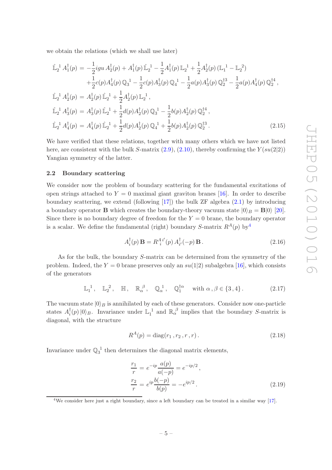we obtain the relations (which we shall use later)

<span id="page-5-2"></span>
$$
\hat{\mathbb{L}}_{2}^{1} A_{1}^{\dagger}(p) = -\frac{1}{2} i g u A_{2}^{\dagger}(p) + A_{1}^{\dagger}(p) \hat{\mathbb{L}}_{2}^{1} - \frac{1}{2} A_{1}^{\dagger}(p) \mathbb{L}_{2}^{1} + \frac{1}{2} A_{2}^{\dagger}(p) (\mathbb{L}_{1}^{1} - \mathbb{L}_{2}^{2}) \n+ \frac{1}{2} c(p) A_{4}^{\dagger}(p) \mathbb{Q}_{3}^{1} - \frac{1}{2} c(p) A_{3}^{\dagger}(p) \mathbb{Q}_{4}^{1} - \frac{1}{2} a(p) A_{3}^{\dagger}(p) \mathbb{Q}_{2}^{13} - \frac{1}{2} a(p) A_{4}^{\dagger}(p) \mathbb{Q}_{2}^{14}, \n\hat{\mathbb{L}}_{2}^{1} A_{2}^{\dagger}(p) = A_{2}^{\dagger}(p) \hat{\mathbb{L}}_{2}^{1} + \frac{1}{2} A_{2}^{\dagger}(p) \mathbb{L}_{2}^{1}, \n\hat{\mathbb{L}}_{2}^{1} A_{3}^{\dagger}(p) = A_{3}^{\dagger}(p) \hat{\mathbb{L}}_{2}^{1} + \frac{1}{2} d(p) A_{2}^{\dagger}(p) \mathbb{Q}_{3}^{1} - \frac{1}{2} b(p) A_{2}^{\dagger}(p) \mathbb{Q}_{2}^{14}, \n\hat{\mathbb{L}}_{2}^{1} A_{4}^{\dagger}(p) = A_{4}^{\dagger}(p) \hat{\mathbb{L}}_{2}^{1} + \frac{1}{2} d(p) A_{2}^{\dagger}(p) \mathbb{Q}_{4}^{1} + \frac{1}{2} b(p) A_{2}^{\dagger}(p) \mathbb{Q}_{2}^{13}. \tag{2.15}
$$

We have verified that these relations, together with many others which we have not listed here, are consistent with the bulk S-matrix  $(2.9)$ ,  $(2.10)$ , thereby confirming the  $Y(su(2|2))$ Yangian symmetry of the latter.

#### <span id="page-5-0"></span>2.2 Boundary scattering

We consider now the problem of boundary scattering for the fundamental excitations of open strings attached to  $Y = 0$  maximal giant graviton branes [\[16](#page-14-5)]. In order to describe boundary scattering, we extend (following  $[17]$ ) the bulk ZF algebra  $(2.1)$  by introducing a boundary operator **B** which creates the boundary-theory vacuum state  $|0\rangle_B = B|0\rangle$  [\[20\]](#page-14-11). Since there is no boundary degree of freedom for the  $Y = 0$  brane, the boundary operator is a scalar. We define the fundamental (right) boundary S-matrix  $R^A(p)$  by  $\Phi^A$ 

<span id="page-5-4"></span>
$$
A_i^{\dagger}(p) \mathbf{B} = R_i^{A_i}{}' (p) A_{i'}^{\dagger}(-p) \mathbf{B}.
$$
 (2.16)

As for the bulk, the boundary S-matrix can be determined from the symmetry of the problem. Indeed, the  $Y = 0$  brane preserves only an  $su(1|2)$  subalgebra [\[16\]](#page-14-5), which consists of the generators

<span id="page-5-3"></span>
$$
\mathbb{L}_1^1, \quad \mathbb{L}_2^2, \quad \mathbb{H}, \quad \mathbb{R}_\alpha^\beta, \quad \mathbb{Q}_\alpha^1, \quad \mathbb{Q}_1^{\dagger \alpha} \quad \text{with } \alpha, \beta \in \{3, 4\}.
$$
 (2.17)

The vacuum state  $|0\rangle_B$  is annihilated by each of these generators. Consider now one-particle states  $A_i^{\dagger}$  $\int_{i}^{t}(p)|0\rangle_{B}$ . Invariance under  $\mathbb{L}_{1}^{1}$  and  $\mathbb{R}_{\alpha}^{\beta}$  implies that the boundary S-matrix is diagonal, with the structure

<span id="page-5-5"></span>
$$
R^{A}(p) = \text{diag}(r_1, r_2, r, r). \qquad (2.18)
$$

Invariance under  $\mathbb{Q}_3^{\{-1\}}$  then determines the diagonal matrix elements,

<span id="page-5-6"></span>
$$
\frac{r_1}{r} = e^{-ip} \frac{a(p)}{a(-p)} = e^{-ip/2},
$$
  
\n
$$
\frac{r_2}{r} = e^{ip} \frac{b(-p)}{b(p)} = -e^{ip/2}.
$$
\n(2.19)

<span id="page-5-1"></span><sup>4</sup>We consider here just a right boundary, since a left boundary can be treated in a similar way [\[17](#page-14-6)].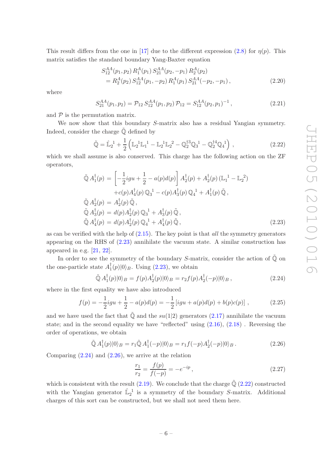This result differs from the one in [\[17](#page-14-6)] due to the different expression [\(2.8\)](#page-3-2) for  $\eta(p)$ . This matrix satisfies the standard boundary Yang-Baxter equation

$$
S_{12}^{AA}(p_1, p_2) R_1^A(p_1) S_{21}^{AA}(p_2, -p_1) R_2^A(p_2)
$$
  
=  $R_2^A(p_2) S_{12}^{AA}(p_1, -p_2) R_1^A(p_1) S_{21}^{AA}(-p_2, -p_1),$  (2.20)

where

$$
S_{21}^{AA}(p_1, p_2) = \mathcal{P}_{12} S_{12}^{AA}(p_1, p_2) \mathcal{P}_{12} = S_{12}^{AA}(p_2, p_1)^{-1}, \qquad (2.21)
$$

and  $P$  is the permutation matrix.

We now show that this boundary S-matrix also has a residual Yangian symmetry. Indeed, consider the charge  $\tilde{\mathbb{O}}$  defined by

<span id="page-6-3"></span>
$$
\tilde{\mathbb{Q}} = \hat{\mathbb{L}}_2^{-1} + \frac{1}{2} \left( \mathbb{L}_2^{-1} \mathbb{L}_1^{-1} - \mathbb{L}_2^{-1} \mathbb{L}_2^{-2} - \mathbb{Q}_2^{13} \mathbb{Q}_3^{-1} - \mathbb{Q}_2^{14} \mathbb{Q}_4^{-1} \right), \tag{2.22}
$$

which we shall assume is also conserved. This charge has the following action on the ZF operators,

<span id="page-6-0"></span>
$$
\tilde{\mathbb{Q}} A_1^{\dagger}(p) = \left[ -\frac{1}{2} i g u + \frac{1}{2} - a(p) d(p) \right] A_2^{\dagger}(p) + A_2^{\dagger}(p) \left( \mathbb{L}_1^{-1} - \mathbb{L}_2^{-2} \right) \n+ c(p) A_4^{\dagger}(p) \mathbb{Q}_3^{-1} - c(p) A_3^{\dagger}(p) \mathbb{Q}_4^{-1} + A_1^{\dagger}(p) \tilde{\mathbb{Q}} , \n\tilde{\mathbb{Q}} A_2^{\dagger}(p) = A_2^{\dagger}(p) \tilde{\mathbb{Q}} , \n\tilde{\mathbb{Q}} A_3^{\dagger}(p) = d(p) A_2^{\dagger}(p) \mathbb{Q}_3^{-1} + A_3^{\dagger}(p) \tilde{\mathbb{Q}} , \n\tilde{\mathbb{Q}} A_4^{\dagger}(p) = d(p) A_2^{\dagger}(p) \mathbb{Q}_4^{-1} + A_4^{\dagger}(p) \tilde{\mathbb{Q}} ,
$$
\n(2.23)

as can be verified with the help of [\(2.15\)](#page-5-2). The key point is that *all* the symmetry generators appearing on the RHS of [\(2.23\)](#page-6-0) annihilate the vacuum state. A similar construction has appeared in e.g.  $[21, 22]$  $[21, 22]$ .

In order to see the symmetry of the boundary S-matrix, consider the action of  $\tilde{\mathbb{Q}}$  on the one-particle state  $A_1^{\dagger}(p)|0\rangle_B$ . Using [\(2.23\)](#page-6-0), we obtain

<span id="page-6-1"></span>
$$
\tilde{\mathbb{Q}} A_1^\dagger(p)|0\rangle_B = f(p) A_2^\dagger(p)|0\rangle_B = r_2 f(p) A_2^\dagger(-p)|0\rangle_B ,\qquad (2.24)
$$

where in the first equality we have also introduced

$$
f(p) = -\frac{1}{2}igu + \frac{1}{2} - a(p)d(p) = -\frac{1}{2}\left[igu + a(p)d(p) + b(p)c(p)\right],
$$
 (2.25)

and we have used the fact that  $\mathbb Q$  and the su(1|2) generators [\(2.17\)](#page-5-3) annihilate the vacuum state; and in the second equality we have "reflected" using  $(2.16)$ ,  $(2.18)$ . Reversing the order of operations, we obtain

<span id="page-6-2"></span>
$$
\tilde{\mathbb{Q}} A_1^\dagger(p)|0\rangle_B = r_1 \tilde{\mathbb{Q}} A_1^\dagger(-p)|0\rangle_B = r_1 f(-p) A_2^\dagger(-p)|0\rangle_B. \tag{2.26}
$$

Comparing  $(2.24)$  and  $(2.26)$ , we arrive at the relation

$$
\frac{r_1}{r_2} = \frac{f(p)}{f(-p)} = -e^{-ip},\tag{2.27}
$$

which is consistent with the result  $(2.19)$ . We conclude that the charge  $\tilde{\mathbb{Q}}$   $(2.22)$  constructed with the Yangian generator  $\mathbb{L}_2^1$  is a symmetry of the boundary S-matrix. Additional charges of this sort can be constructed, but we shall not need them here.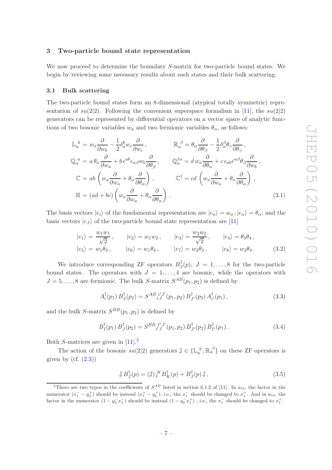#### <span id="page-7-0"></span>3 Two-particle bound state representation

We now proceed to determine the boundary S-matrix for two-particle bound states. We begin by reviewing some necessary results about such states and their bulk scattering.

#### <span id="page-7-1"></span>3.1 Bulk scattering

The two-particle bound states form an 8-dimensional (atypical totally symmetric) representation of  $su(2|2)$ . Following the convenient superspace formalism in [\[11\]](#page-14-0), the  $su(2|2)$ generators can be represented by differential operators on a vector space of analytic functions of two bosonic variables  $w_a$  and two fermionic variables  $\theta_\alpha$ , as follows:

<span id="page-7-3"></span>
$$
\mathbb{L}_{a}^{b} = w_{a} \frac{\partial}{\partial w_{b}} - \frac{1}{2} \delta_{a}^{b} w_{c} \frac{\partial}{\partial w_{c}}, \qquad \mathbb{R}_{\alpha}^{\beta} = \theta_{\alpha} \frac{\partial}{\partial \theta_{\beta}} - \frac{1}{2} \delta_{\alpha}^{\beta} \theta_{\gamma} \frac{\partial}{\partial \theta_{\gamma}},
$$
  
\n
$$
\mathbb{Q}_{\alpha}^{a} = a \theta_{\alpha} \frac{\partial}{\partial w_{a}} + b \epsilon^{ab} \epsilon_{\alpha\beta} w_{b} \frac{\partial}{\partial \theta_{\beta}}, \qquad \mathbb{Q}_{a}^{\dagger \alpha} = d w_{a} \frac{\partial}{\partial \theta_{\alpha}} + c \epsilon_{ab} \epsilon^{\alpha \beta} \theta_{\beta} \frac{\partial}{\partial w_{b}},
$$
  
\n
$$
\mathbb{C} = ab \left( w_{a} \frac{\partial}{\partial w_{a}} + \theta_{\alpha} \frac{\partial}{\partial \theta_{\alpha}} \right), \qquad \mathbb{C}^{\dagger} = cd \left( w_{a} \frac{\partial}{\partial w_{a}} + \theta_{\alpha} \frac{\partial}{\partial \theta_{\alpha}} \right),
$$
  
\n
$$
\mathbb{H} = (ad + bc) \left( w_{a} \frac{\partial}{\partial w_{a}} + \theta_{\alpha} \frac{\partial}{\partial \theta_{\alpha}} \right).
$$
  
\n(3.1)

The basis vectors  $|e_i\rangle$  of the fundamental representation are  $|e_a\rangle = w_a$ ,  $|e_\alpha\rangle = \theta_\alpha$ ; and the basis vectors  $|e_J\rangle$  of the two-particle bound state representation are [\[11](#page-14-0)]

<span id="page-7-4"></span>
$$
|e_1\rangle = \frac{w_1 w_1}{\sqrt{2}},
$$
  $|e_2\rangle = w_1 w_2,$   $|e_3\rangle = \frac{w_2 w_2}{\sqrt{2}},$   $|e_4\rangle = \theta_3 \theta_4,$   
 $|e_5\rangle = w_1 \theta_3,$   $|e_6\rangle = w_1 \theta_4,$   $|e_7\rangle = w_2 \theta_3,$   $|e_8\rangle = w_2 \theta_4.$  (3.2)

We introduce corresponding ZF operators  $B_J^{\dagger}$  $J_J(p), J = 1, \ldots, 8$  for the two-particle bound states. The operators with  $J = 1, \ldots, 4$  are bosonic, while the operators with  $J = 5, \ldots, 8$  are fermionic. The bulk S-matrix  $S^{AB}(p_1, p_2)$  is defined by

$$
A_i^{\dagger}(p_1) B_J^{\dagger}(p_2) = S^{AB}{}_{iJ}^{i'J'}(p_1, p_2) B_{J'}^{\dagger}(p_2) A_{i'}^{\dagger}(p_1), \qquad (3.3)
$$

and the bulk S-matrix  $S^{BB}(p_1, p_2)$  is defined by

$$
B_{I}^{\dagger}(p_{1}) B_{J}^{\dagger}(p_{2}) = S^{BB}{}_{IJ}^{IJ'}(p_{1}, p_{2}) B_{J'}^{\dagger}(p_{2}) B_{I'}^{\dagger}(p_{1}). \qquad (3.4)
$$

Both S-matrices are given in  $[11]$ <sup>[5](#page-7-2)</sup>

The action of the bosonic  $su(2|2)$  generators  $\mathbb{J} \in {\mathbb{L}_a}^b$ ,  $\mathbb{R}_\alpha^{\beta}$  on these ZF operators is given by  $(cf. (2.3))$  $(cf. (2.3))$  $(cf. (2.3))$ 

<span id="page-7-5"></span>
$$
\mathbb{J}B_{J}^{\dagger}(p) = (\mathbb{J})_{J}^{K}B_{K}^{\dagger}(p) + B_{J}^{\dagger}(p)\mathbb{J},\tag{3.5}
$$

<span id="page-7-2"></span><sup>&</sup>lt;sup>5</sup>There are two typos in the coefficients of  $S^{AB}$  listed in section 6.1.2 of [\[11](#page-14-0)]. In  $a_{13}$ , the factor in the numerator  $(x_1^--y_2^+)$  should be instead  $(x_1^+-y_2^+)$ ; i.e., the  $x_1^-$  should be changed to  $x_1^+$ . And in  $a_{14}$ , the factor in the numerator  $(1 - y_2^- x_1^-)$  should be instead  $(1 - y_2^- x_1^+)$ ; i.e., the  $x_1^-$  should be changed to  $x_1^+$ .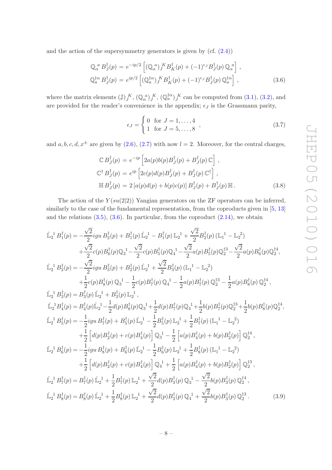and the action of the supersymmetry generators is given by  $(cf. (2.4))$  $(cf. (2.4))$  $(cf. (2.4))$ 

<span id="page-8-0"></span>
$$
\mathbb{Q}_{\alpha}^{a} B_{J}^{\dagger}(p) = e^{-ip/2} \left[ (\mathbb{Q}_{\alpha}^{a})_{J}^{K} B_{K}^{\dagger}(p) + (-1)^{\epsilon_{J}} B_{J}^{\dagger}(p) \mathbb{Q}_{\alpha}^{a} \right],
$$
  
\n
$$
\mathbb{Q}_{a}^{\dagger \alpha} B_{J}^{\dagger}(p) = e^{ip/2} \left[ (\mathbb{Q}_{a}^{\dagger \alpha})_{J}^{K} B_{K}^{\dagger}(p) + (-1)^{\epsilon_{J}} B_{J}^{\dagger}(p) \mathbb{Q}_{a}^{\dagger \alpha} \right],
$$
\n(3.6)

where the matrix elements  $(\mathbb{J})_J^K$ ,  $(\mathbb{Q}_{\alpha}^{\ a})_J^K$ ,  $(\mathbb{Q}_{a}^{\dagger \alpha})_J^K$  can be computed from  $(3.1)$ ,  $(3.2)$ , and are provided for the reader's convenience in the appendix;  $\epsilon_J$  is the Grassmann parity,

$$
\epsilon_J = \begin{cases} 0 & \text{for } J = 1, ..., 4 \\ 1 & \text{for } J = 5, ..., 8 \end{cases},
$$
 (3.7)

and  $a, b, c, d, x^{\pm}$  are given by [\(2.6\)](#page-3-5), [\(2.7\)](#page-3-6) with now  $l = 2$ . Moreover, for the central charges,

$$
\mathbb{C} B_J^{\dagger}(p) = e^{-ip} \left[ 2a(p)b(p)B_J^{\dagger}(p) + B_J^{\dagger}(p)\,\mathbb{C} \right],
$$
  
\n
$$
\mathbb{C}^{\dagger} B_J^{\dagger}(p) = e^{ip} \left[ 2c(p)d(p)B_J^{\dagger}(p) + B_J^{\dagger}(p)\,\mathbb{C}^{\dagger} \right],
$$
  
\n
$$
\mathbb{H} B_J^{\dagger}(p) = 2 \left[ a(p)d(p) + b(p)c(p) \right] B_J^{\dagger}(p) + B_J^{\dagger}(p)\,\mathbb{H}.
$$
\n(3.8)

The action of the  $Y(su(2|2))$  Yangian generators on the ZF operators can be inferred, similarly to the case of the fundamental representation, from the coproducts given in [\[5,](#page-13-2) [13\]](#page-14-2) and the relations  $(3.5)$ ,  $(3.6)$ . In particular, from the coproduct  $(2.14)$ , we obtain

<span id="page-8-1"></span>
$$
\hat{\mathbb{L}}_{2}^{1} B_{1}^{\dagger}(p) = -\frac{\sqrt{2}}{2} igu B_{2}^{\dagger}(p) + B_{1}^{\dagger}(p) \hat{\mathbb{L}}_{2}^{1} - B_{1}^{\dagger}(p) \mathbb{L}_{2}^{1} + \frac{\sqrt{2}}{2} B_{2}^{\dagger}(p) (\mathbb{L}_{1}^{1} - \mathbb{L}_{2}^{2}) \n+ \frac{\sqrt{2}}{2} c(p) B_{6}^{\dagger}(p) \mathbb{Q}_{3}^{1} - \frac{\sqrt{2}}{2} c(p) B_{5}^{\dagger}(p) \mathbb{Q}_{4}^{1} - \frac{\sqrt{2}}{2} a(p) B_{5}^{\dagger}(p) \mathbb{Q}_{2}^{13} - \frac{\sqrt{2}}{2} a(p) B_{6}^{\dagger}(p) \mathbb{Q}_{2}^{14},
$$
\n
$$
\hat{\mathbb{L}}_{2}^{1} B_{2}^{\dagger}(p) = -\frac{\sqrt{2}}{2} igu B_{3}^{\dagger}(p) + B_{2}^{\dagger}(p) \hat{\mathbb{L}}_{2}^{1} + \frac{\sqrt{2}}{2} B_{3}^{\dagger}(p) (\mathbb{L}_{1}^{1} - \mathbb{L}_{2}^{2}) \n+ \frac{1}{2} c(p) B_{8}^{\dagger}(p) \mathbb{Q}_{3}^{1} - \frac{1}{2} c(p) B_{7}^{\dagger}(p) \mathbb{Q}_{4}^{1} - \frac{1}{2} a(p) B_{7}^{\dagger}(p) \mathbb{Q}_{2}^{4} - \frac{1}{2} a(p) B_{8}^{\dagger}(p) \mathbb{Q}_{2}^{4},
$$
\n
$$
\hat{\mathbb{L}}_{2}^{1} B_{4}^{\dagger}(p) = B_{4}^{\dagger}(p) \hat{\mathbb{L}}_{2}^{1} - \frac{1}{2} d(p) B_{8}^{\dagger}(p) \mathbb{Q}_{3}^{1} + \frac{1}{2} d(p) B_{7}^{\dagger}(p) \mathbb{Q}_{4}^{1} + \frac{1}{2} b(p) B_{7}^{\dagger}(p) \mathbb{Q}_{2}^{14} + \frac{1}{2} b(p) B_{8}^{\dagger}(p) \mathbb{Q}_{2}^{14},
$$
\n

$$
\hat{\mathbb{L}}_2^{-1} B_8^{\dagger}(p) = B_8^{\dagger}(p) \hat{\mathbb{L}}_2^{-1} + \frac{1}{2} B_8^{\dagger}(p) \mathbb{L}_2^{-1} + \frac{\sqrt{2}}{2} d(p) B_3^{\dagger}(p) \mathbb{Q}_4^{-1} + \frac{\sqrt{2}}{2} b(p) B_3^{\dagger}(p) \mathbb{Q}_2^{\dagger 3}.
$$
 (3.9)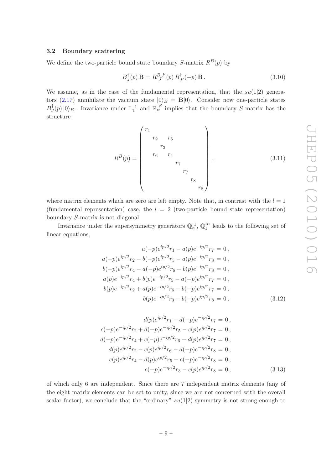#### <span id="page-9-0"></span>3.2 Boundary scattering

We define the two-particle bound state boundary S-matrix  $R^B(p)$  by

<span id="page-9-1"></span>
$$
B_J^{\dagger}(p) \mathbf{B} = R_J^{B J'}(p) B_{J'}^{\dagger}(-p) \mathbf{B}.
$$
 (3.10)

We assume, as in the case of the fundamental representation, that the  $su(1|2)$  genera-tors [\(2.17\)](#page-5-3) annihilate the vacuum state  $|0\rangle_B = B|0\rangle$ . Consider now one-particle states  $B^\dagger_J$  $_J^{\dagger}(p)|0\rangle_B$ . Invariance under  $\mathbb{L}_1^1$  and  $\mathbb{R}_\alpha^{\beta}$  implies that the boundary S-matrix has the structure

<span id="page-9-2"></span>
$$
R^{B}(p) = \begin{pmatrix} r_1 & & & & & & \\ & r_2 & r_5 & & & & \\ & & r_3 & & & & \\ & & & r_6 & r_4 & & & \\ & & & & & r_7 & & \\ & & & & & & & r_8 & \\ & & & & & & & & r_8 \end{pmatrix},
$$
(3.11)

where matrix elements which are zero are left empty. Note that, in contrast with the  $l = 1$ (fundamental representation) case, the  $l = 2$  (two-particle bound state representation) boundary S-matrix is not diagonal.

Invariance under the supersymmetry generators  $\mathbb{Q}_{\alpha}^{\ 1}$ ,  $\mathbb{Q}_1^{\dagger\alpha}$  leads to the following set of linear equations,

<span id="page-9-3"></span>
$$
a(-p)e^{ip/2}r_1 - a(p)e^{-ip/2}r_7 = 0,
$$
  
\n
$$
a(-p)e^{ip/2}r_2 - b(-p)e^{ip/2}r_5 - a(p)e^{-ip/2}r_8 = 0,
$$
  
\n
$$
b(-p)e^{ip/2}r_4 - a(-p)e^{ip/2}r_6 - b(p)e^{-ip/2}r_8 = 0,
$$
  
\n
$$
a(p)e^{-ip/2}r_4 + b(p)e^{-ip/2}r_5 - a(-p)e^{ip/2}r_7 = 0,
$$
  
\n
$$
b(p)e^{-ip/2}r_2 + a(p)e^{-ip/2}r_6 - b(-p)e^{ip/2}r_7 = 0,
$$
  
\n
$$
b(p)e^{-ip/2}r_3 - b(-p)e^{ip/2}r_8 = 0,
$$
\n(3.12)

<span id="page-9-4"></span>
$$
d(p)e^{ip/2}r_1 - d(-p)e^{-ip/2}r_7 = 0,
$$
  
\n
$$
c(-p)e^{-ip/2}r_2 + d(-p)e^{-ip/2}r_5 - c(p)e^{ip/2}r_7 = 0,
$$
  
\n
$$
d(-p)e^{-ip/2}r_4 + c(-p)e^{-ip/2}r_6 - d(p)e^{ip/2}r_7 = 0,
$$
  
\n
$$
d(p)e^{ip/2}r_2 - c(p)e^{ip/2}r_6 - d(-p)e^{-ip/2}r_8 = 0,
$$
  
\n
$$
c(p)e^{ip/2}r_4 - d(p)e^{ip/2}r_5 - c(-p)e^{-ip/2}r_8 = 0,
$$
  
\n
$$
c(-p)e^{-ip/2}r_3 - c(p)e^{ip/2}r_8 = 0,
$$
\n(3.13)

of which only 6 are independent. Since there are 7 independent matrix elements (any of the eight matrix elements can be set to unity, since we are not concerned with the overall scalar factor), we conclude that the "ordinary"  $su(1|2)$  symmetry is not strong enough to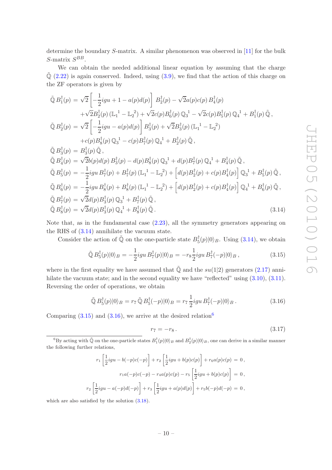determine the boundary S-matrix. A similar phenomenon was observed in [\[11\]](#page-14-0) for the bulk  $S$ -matrix  $S^{BB}$ .

We can obtain the needed additional linear equation by assuming that the charge  $\mathbb{Q}$  [\(2.22\)](#page-6-3) is again conserved. Indeed, using [\(3.9\)](#page-8-1), we find that the action of this charge on the ZF operators is given by

<span id="page-10-0"></span>
$$
\tilde{\mathbb{Q}}B_{1}^{\dagger}(p) = \sqrt{2}\left[-\frac{1}{2}igu + 1 - a(p)d(p)\right]B_{2}^{\dagger}(p) - \sqrt{2}a(p)c(p)B_{4}^{\dagger}(p) \n+ \sqrt{2}B_{2}^{\dagger}(p) \left(\mathbb{L}_{1}^{1} - \mathbb{L}_{2}^{2}\right) + \sqrt{2}c(p)B_{6}^{\dagger}(p) \mathbb{Q}_{3}^{1} - \sqrt{2}c(p)B_{5}^{\dagger}(p) \mathbb{Q}_{4}^{1} + B_{1}^{\dagger}(p) \tilde{\mathbb{Q}} ,
$$
\n
$$
\tilde{\mathbb{Q}}B_{2}^{\dagger}(p) = \sqrt{2}\left[-\frac{1}{2}igu - a(p)d(p)\right]B_{3}^{\dagger}(p) + \sqrt{2}B_{3}^{\dagger}(p) \left(\mathbb{L}_{1}^{1} - \mathbb{L}_{2}^{2}\right) \n+ c(p)B_{8}^{\dagger}(p) \mathbb{Q}_{3}^{1} - c(p)B_{7}^{\dagger}(p) \mathbb{Q}_{4}^{1} + B_{2}^{\dagger}(p) \tilde{\mathbb{Q}} ,
$$
\n
$$
\tilde{\mathbb{Q}}B_{3}^{\dagger}(p) = B_{3}^{\dagger}(p) \tilde{\mathbb{Q}} ,
$$
\n
$$
\tilde{\mathbb{Q}}B_{4}^{\dagger}(p) = \sqrt{2}b(p)d(p)B_{3}^{\dagger}(p) - d(p)B_{8}^{\dagger}(p) \mathbb{Q}_{3}^{1} + d(p)B_{7}^{\dagger}(p) \mathbb{Q}_{4}^{1} + B_{4}^{\dagger}(p) \tilde{\mathbb{Q}} ,
$$
\n
$$
\tilde{\mathbb{Q}}B_{5}^{\dagger}(p) = -\frac{1}{2}igu B_{7}^{\dagger}(p) + B_{7}^{\dagger}(p) \left(\mathbb{L}_{1}^{1} - \mathbb{L}_{2}^{2}\right) + \left[d(p)B_{2}^{\dagger}(p) + c(p)B_{4}^{\dagger}(p)\right] \mathbb{Q}_{3}^{1} + B_{5}^{\dagger}(p) \tilde{\mathbb{Q}} ,
$$
\n
$$
\tilde{\mathbb{Q}}B_{6}^{\dagger}(
$$

Note that, as in the fundamental case [\(2.23\)](#page-6-0), all the symmetry generators appearing on the RHS of [\(3.14\)](#page-10-0) annihilate the vacuum state.

Consider the action of  $\tilde{\mathbb{Q}}$  on the one-particle state  $B_5^{\dagger}(p)|0\rangle_B$ . Using [\(3.14\)](#page-10-0), we obtain

<span id="page-10-1"></span>
$$
\tilde{\mathbb{Q}} B_5^\dagger(p)|0\rangle_B = -\frac{1}{2} i g u B_7^\dagger(p)|0\rangle_B = -r_8 \frac{1}{2} i g u B_7^\dagger(-p)|0\rangle_B ,\qquad (3.15)
$$

where in the first equality we have assumed that  $\tilde{\mathbb{Q}}$  and the su(1|2) generators [\(2.17\)](#page-5-3) annihilate the vacuum state; and in the second equality we have "reflected" using  $(3.10)$ ,  $(3.11)$ . Reversing the order of operations, we obtain

<span id="page-10-2"></span>
$$
\tilde{\mathbb{Q}} B_5^{\dagger}(p)|0\rangle_B = r_7 \tilde{\mathbb{Q}} B_5^{\dagger}(-p)|0\rangle_B = r_7 \frac{1}{2} i g u B_7^{\dagger}(-p)|0\rangle_B. \tag{3.16}
$$

Comparing  $(3.15)$  and  $(3.16)$  $(3.16)$  $(3.16)$ , we arrive at the desired relation<sup>6</sup>

$$
r_7 = -r_8. \t\t(3.17)
$$

<span id="page-10-4"></span>
$$
r_1 \left[ \frac{1}{2} i g u - b(-p) c(-p) \right] + r_2 \left[ \frac{1}{2} i g u + b(p) c(p) \right] + r_6 a(p) c(p) = 0,
$$
  

$$
r_1 a(-p) c(-p) - r_4 a(p) c(p) - r_5 \left[ \frac{1}{2} i g u + b(p) c(p) \right] = 0,
$$
  

$$
r_2 \left[ \frac{1}{2} i g u - a(-p) d(-p) \right] + r_3 \left[ \frac{1}{2} i g u + a(p) d(p) \right] + r_5 b(-p) d(-p) = 0,
$$

which are also satisfied by the solution [\(3.18\)](#page-11-1).

<span id="page-10-3"></span> ${}^6$ By acting with  $\tilde{Q}$  on the one-particle states  $B_1^{\dagger}(p)|0\rangle_B$  and  $B_2^{\dagger}(p)|0\rangle_B$ , one can derive in a similar manner the following further relations,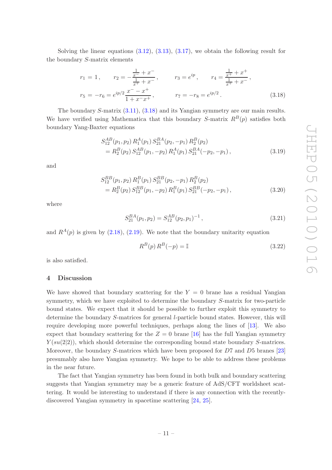Solving the linear equations  $(3.12)$ ,  $(3.13)$ ,  $(3.17)$ , we obtain the following result for the boundary S-matrix elements

<span id="page-11-1"></span>
$$
r_1 = 1, \t r_2 = -\frac{\frac{1}{x^-} + x^-}{\frac{1}{x^+} + x^-}, \t r_3 = e^{ip}, \t r_4 = \frac{\frac{1}{x^+} + x^+}{\frac{1}{x^+} + x^-},
$$
  

$$
r_5 = -r_6 = e^{ip/2} \frac{x^- - x^+}{1 + x^- x^+}, \t r_7 = -r_8 = e^{ip/2}.
$$
 (3.18)

The boundary S-matrix [\(3.11\)](#page-9-2), [\(3.18\)](#page-11-1) and its Yangian symmetry are our main results. We have verified using Mathematica that this boundary S-matrix  $R^{B}(p)$  satisfies both boundary Yang-Baxter equations

$$
S_{12}^{AB}(p_1, p_2) R_1^A(p_1) S_{21}^{BA}(p_2, -p_1) R_2^B(p_2)
$$
  
=  $R_2^B(p_2) S_{12}^{AB}(p_1, -p_2) R_1^A(p_1) S_{21}^{BA}(-p_2, -p_1),$  (3.19)

and

$$
S_{12}^{BB}(p_1, p_2) R_1^B(p_1) S_{21}^{BB}(p_2, -p_1) R_2^B(p_2)
$$
  
=  $R_2^B(p_2) S_{12}^{BB}(p_1, -p_2) R_1^B(p_1) S_{21}^{BB}(-p_2, -p_1)$ , (3.20)

where

$$
S_{21}^{BA}(p_1, p_2) = S_{12}^{AB}(p_2, p_1)^{-1}, \qquad (3.21)
$$

and  $R^A(p)$  is given by [\(2.18\)](#page-5-5), [\(2.19\)](#page-5-6). We note that the boundary unitarity equation

$$
R^{B}(p) R^{B}(-p) = \mathbb{I}
$$
\n(3.22)

<span id="page-11-0"></span>is also satisfied.

#### 4 Discussion

We have showed that boundary scattering for the  $Y = 0$  brane has a residual Yangian symmetry, which we have exploited to determine the boundary S-matrix for two-particle bound states. We expect that it should be possible to further exploit this symmetry to determine the boundary S-matrices for general l-particle bound states. However, this will require developing more powerful techniques, perhaps along the lines of [\[13\]](#page-14-2). We also expect that boundary scattering for the  $Z = 0$  brane [\[16](#page-14-5)] has the full Yangian symmetry  $Y(su(2|2))$ , which should determine the corresponding bound state boundary S-matrices. Moreover, the boundary S-matrices which have been proposed for D7 and D5 branes [\[23\]](#page-14-14) presumably also have Yangian symmetry. We hope to be able to address these problems in the near future.

The fact that Yangian symmetry has been found in both bulk and boundary scattering suggests that Yangian symmetry may be a generic feature of AdS/CFT worldsheet scattering. It would be interesting to understand if there is any connection with the recentlydiscovered Yangian symmetry in spacetime scattering [\[24,](#page-14-15) [25](#page-14-16)].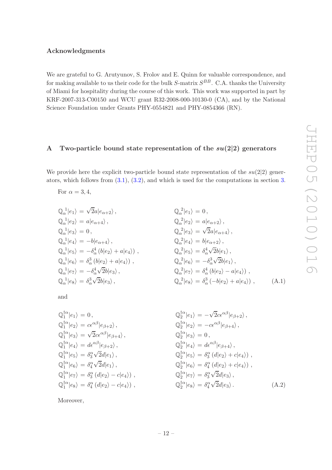# Acknowledgments

We are grateful to G. Arutyunov, S. Frolov and E. Quinn for valuable correspondence, and for making available to us their code for the bulk  $S$ -matrix  $S^{BB}$ . C.A. thanks the University of Miami for hospitality during the course of this work. This work was supported in part by KRF-2007-313-C00150 and WCU grant R32-2008-000-10130-0 (CA), and by the National Science Foundation under Grants PHY-0554821 and PHY-0854366 (RN).

## <span id="page-12-0"></span>A Two-particle bound state representation of the  $su(2|2)$  generators

We provide here the explicit two-particle bound state representation of the  $su(2|2)$  generators, which follows from [\(3.1\)](#page-7-3), [\(3.2\)](#page-7-4), and which is used for the computations in section [3.](#page-7-0)

For 
$$
\alpha = 3, 4
$$
,

$$
\begin{aligned}\n\mathbb{Q}_{\alpha}^{-1}|e_1\rangle &= \sqrt{2}a|e_{\alpha+2}\rangle, \\
\mathbb{Q}_{\alpha}^{-1}|e_2\rangle &= a|e_{\alpha+4}\rangle, \\
\mathbb{Q}_{\alpha}^{-1}|e_3\rangle &= 0, \\
\mathbb{Q}_{\alpha}^{-1}|e_4\rangle &= -b|e_{\alpha+4}\rangle, \\
\mathbb{Q}_{\alpha}^{-1}|e_5\rangle &= -\delta_{\alpha}^4(b|e_2\rangle + a|e_4\rangle), \\
\mathbb{Q}_{\alpha}^{-1}|e_6\rangle &= \delta_{\alpha}^3(b|e_2\rangle + a|e_4\rangle), \\
\mathbb{Q}_{\alpha}^{-1}|e_7\rangle &= -\delta_{\alpha}^4\sqrt{2}b|e_3\rangle, \\
\mathbb{Q}_{\alpha}^{-1}|e_8\rangle &= \delta_{\alpha}^3\sqrt{2}b|e_3\rangle,\n\end{aligned}
$$

$$
Q_{\alpha}^{2}|e_{1}\rangle = 0,
$$
  
\n
$$
Q_{\alpha}^{2}|e_{2}\rangle = a|e_{\alpha+2}\rangle,
$$
  
\n
$$
Q_{\alpha}^{2}|e_{3}\rangle = \sqrt{2}a|e_{\alpha+4}\rangle,
$$
  
\n
$$
Q_{\alpha}^{2}|e_{4}\rangle = b|e_{\alpha+2}\rangle,
$$
  
\n
$$
Q_{\alpha}^{2}|e_{5}\rangle = \delta_{\alpha}^{4}\sqrt{2}b|e_{1}\rangle,
$$
  
\n
$$
Q_{\alpha}^{2}|e_{6}\rangle = -\delta_{\alpha}^{3}\sqrt{2}b|e_{1}\rangle,
$$
  
\n
$$
Q_{\alpha}^{2}|e_{7}\rangle = \delta_{\alpha}^{4}(b|e_{2}\rangle - a|e_{4}\rangle),
$$
  
\n
$$
Q_{\alpha}^{2}|e_{8}\rangle = \delta_{\alpha}^{3}(-b|e_{2}\rangle + a|e_{4}\rangle),
$$
 (A.1)

and

$$
\begin{aligned}\n\mathbb{Q}_{1}^{\dagger\alpha}|e_{1}\rangle &= 0, & \mathbb{Q}_{2}^{\dagger\alpha}|e_{1}\rangle &= -\sqrt{2}c\epsilon^{\alpha\beta}|e_{\beta+2}\rangle, \\
\mathbb{Q}_{1}^{\dagger\alpha}|e_{2}\rangle &= c\epsilon^{\alpha\beta}|e_{\beta+2}\rangle, & \mathbb{Q}_{2}^{\dagger\alpha}|e_{2}\rangle &= -c\epsilon^{\alpha\beta}|e_{\beta+4}\rangle, \\
\mathbb{Q}_{1}^{\dagger\alpha}|e_{3}\rangle &= \sqrt{2}c\epsilon^{\alpha\beta}|e_{\beta+4}\rangle, & \mathbb{Q}_{2}^{\dagger\alpha}|e_{3}\rangle &= 0, \\
\mathbb{Q}_{1}^{\dagger\alpha}|e_{4}\rangle &= d\epsilon^{\alpha\beta}|e_{\beta+2}\rangle, & \mathbb{Q}_{2}^{\dagger\alpha}|e_{4}\rangle &= d\epsilon^{\alpha\beta}|e_{\beta+4}\rangle, \\
\mathbb{Q}_{1}^{\dagger\alpha}|e_{5}\rangle &= \delta_{3}^{\alpha}\sqrt{2}d|e_{1}\rangle, & \mathbb{Q}_{2}^{\dagger\alpha}|e_{5}\rangle &= \delta_{3}^{\alpha}\left(d|e_{2}\rangle + c|e_{4}\rangle\right), \\
\mathbb{Q}_{1}^{\dagger\alpha}|e_{7}\rangle &= \delta_{3}^{\alpha}\left(d|e_{2}\rangle - c|e_{4}\rangle\right), & \mathbb{Q}_{2}^{\dagger\alpha}|e_{7}\rangle &= \delta_{3}^{\alpha}\sqrt{2}d|e_{3}\rangle, \\
\mathbb{Q}_{1}^{\dagger\alpha}|e_{8}\rangle &= \delta_{4}^{\alpha}\left(d|e_{2}\rangle - c|e_{4}\rangle\right), & \mathbb{Q}_{2}^{\dagger\alpha}|e_{8}\rangle &= \delta_{4}^{\alpha}\sqrt{2}d|e_{3}\rangle.\n\end{aligned} \tag{A.2}
$$

Moreover,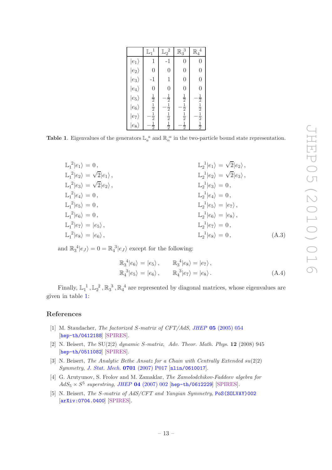|                       | $\mathbb{L}_1$                                          | $\mathbb{L}_2^2$                                        | $\mathbb{R}_3^3$                                        | $\mathbb{R}_4$                                          |
|-----------------------|---------------------------------------------------------|---------------------------------------------------------|---------------------------------------------------------|---------------------------------------------------------|
| $ e_1\rangle$         | $\mathbf{1}$                                            | $-1$                                                    | $\overline{0}$                                          | $\overline{0}$                                          |
| $\ket{e_2}$           | $\overline{0}$                                          | $\overline{0}$                                          | $\overline{0}$                                          | $\overline{0}$                                          |
| $\ket{e_3}$           | $-1$                                                    | $\mathbf{1}$                                            | $\overline{0}$                                          | $\overline{0}$                                          |
| $ e_4\rangle$         | $\overline{0}$                                          | $\overline{0}$                                          | $\overline{0}$                                          | $\overline{0}$                                          |
| $ e_5\rangle$         |                                                         |                                                         |                                                         |                                                         |
| $ e_6\rangle$         |                                                         |                                                         |                                                         |                                                         |
| $\langle e_7 \rangle$ | $\frac{1}{2}$ $\frac{1}{2}$ $\frac{1}{2}$ $\frac{1}{2}$ | $\frac{1}{2}$ $\frac{1}{2}$ $\frac{1}{2}$ $\frac{1}{2}$ | $\frac{1}{2}$ $\frac{1}{2}$ $\frac{1}{2}$ $\frac{1}{2}$ | $\frac{1}{2}$ $\frac{1}{2}$ $\frac{1}{2}$ $\frac{1}{2}$ |
| $e_8\rangle$          |                                                         |                                                         |                                                         |                                                         |

**Table 1.** Eigenvalues of the generators  $\mathbb{L}_a^a$  and  $\mathbb{R}_{\alpha}^{\alpha}$  in the two-particle bound state representation.

<span id="page-13-5"></span>

| $\mathbb{L}_1^2 e_1\rangle=0,$                      | $\mathbb{L}_2^1 e_1\rangle = \sqrt{2} e_2\rangle,$        |       |
|-----------------------------------------------------|-----------------------------------------------------------|-------|
| $\mathbb{L}_1^2 e_2\rangle = \sqrt{2} e_1\rangle,$  | $\mathbb{L}_2^{\perp} e_2\rangle = \sqrt{2} e_3\rangle$ , |       |
| $\mathbb{L}_1^2 e_3\rangle = \sqrt{2} e_2\rangle$ , | $\mathbb{L}_2^1 e_3\rangle = 0$ ,                         |       |
| $\mathbb{L}_1^2 e_4\rangle=0,$                      | $\mathbb{L}_2^1 e_4\rangle = 0,$                          |       |
| $\mathbb{L}_1^2 e_5\rangle=0,$                      | $\mathbb{L}_2^{-1} e_5\rangle =  e_7\rangle$ ,            |       |
| $\mathbb{L}_1^2  e_6\rangle = 0$ ,                  | $\mathbb{L}_2^1 e_6\rangle =  e_8\rangle,$                |       |
| $\mathbb{L}_1^2 e_7\rangle =  e_5\rangle,$          | $\mathbb{L}_2^1 e_7\rangle = 0$ ,                         |       |
| $\mathbb{L}_1^2 e_8\rangle =  e_6\rangle,$          | $\mathbb{L}_2^1  e_8\rangle = 0,$                         | (A.3) |

and  $\mathbb{R}_3^4 |e_J\rangle = 0 = \mathbb{R}_4^3 |e_J\rangle$  except for the following:

$$
\mathbb{R}_3^4 |e_6\rangle = |e_5\rangle, \qquad \mathbb{R}_3^4 |e_8\rangle = |e_7\rangle, \n\mathbb{R}_4^3 |e_5\rangle = |e_6\rangle, \qquad \mathbb{R}_4^3 |e_7\rangle = |e_8\rangle.
$$
\n(A.4)

Finally,  $\mathbb{L}_1^1$ ,  $\mathbb{L}_2^2$ ,  $\mathbb{R}_3^3$ ,  $\mathbb{R}_4^4$  are represented by diagonal matrices, whose eigenvalues are given in table [1:](#page-13-5)

# References

- <span id="page-13-0"></span>[1] M. Staudacher, *The factorized* S*-matrix of CFT/AdS*, *JHEP* 05 [\(2005\) 054](http://dx.doi.org/10.1088/1126-6708/2005/05/054) [[hep-th/0412188](http://arxiv.org/abs/hep-th/0412188)] [\[SPIRES\]](http://www-spires.slac.stanford.edu/spires/find/hep/www?eprint=HEP-TH/0412188).
- <span id="page-13-3"></span>[2] N. Beisert, *The* SU(2|2) *dynamic* S*-matrix*, *Adv. Theor. Math. Phys.* 12 (2008) 945 [[hep-th/0511082](http://arxiv.org/abs/hep-th/0511082)] [\[SPIRES\]](http://www-spires.slac.stanford.edu/spires/find/hep/www?eprint=HEP-TH/0511082).
- <span id="page-13-4"></span>[3] N. Beisert, *The Analytic Bethe Ansatz for a Chain with Centrally Extended*  $su(2|2)$ *Symmetry*, *[J. Stat. Mech.](http://arxiv.org/10.1088/1742-5468/2007/01/P01017)* 0701 (2007) P017 [[nlin/0610017](http://arxiv.org/abs/nlin/0610017)].
- <span id="page-13-1"></span>[4] G. Arutyunov, S. Frolov and M. Zamaklar, *The Zamolodchikov-Faddeev algebra for*  $AdS_5 \times S^5$  superstring, JHEP 04 [\(2007\) 002](http://dx.doi.org/10.1088/1126-6708/2007/04/002) [[hep-th/0612229](http://arxiv.org/abs/hep-th/0612229)] [\[SPIRES\]](http://www-spires.slac.stanford.edu/spires/find/hep/www?eprint=HEP-TH/0612229).
- <span id="page-13-2"></span>[5] N. Beisert, *The* S*-matrix of AdS/CFT and Yangian Symmetry*, [PoS\(SOLVAY\)002](http://pos.sissa.it/cgi-bin/reader/contribution.cgi?id=PoS(SOLVAY)002) [[arXiv:0704.0400](http://arxiv.org/abs/0704.0400)] [\[SPIRES\]](http://www-spires.slac.stanford.edu/spires/find/hep/www?eprint=0704.0400).